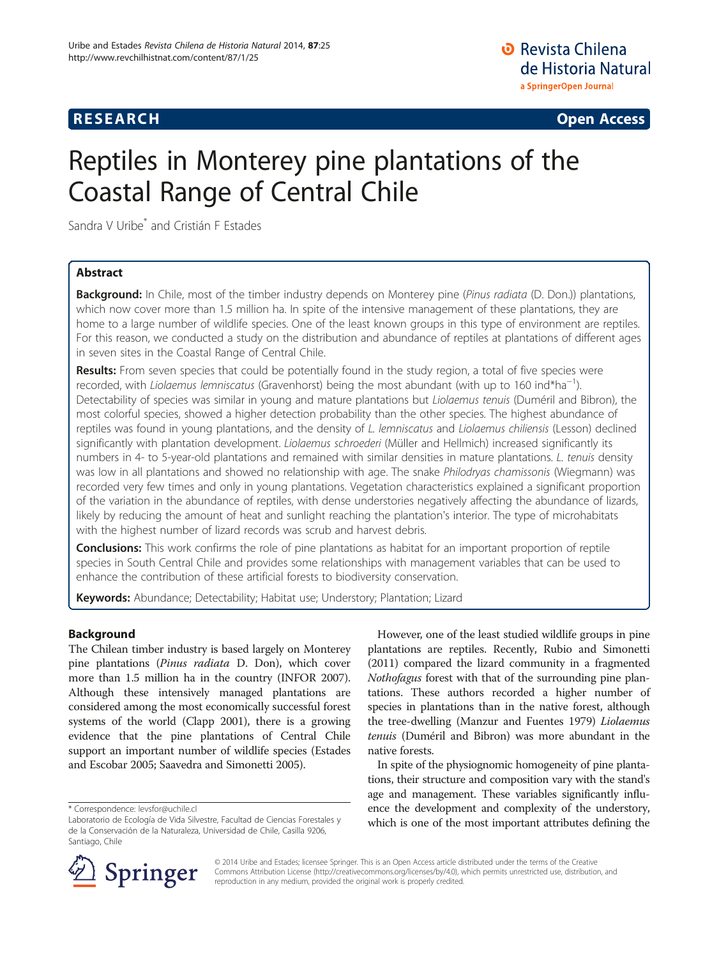**RESEARCH RESEARCH CONSUMING ACCESS** 

# Reptiles in Monterey pine plantations of the Coastal Range of Central Chile

Sandra V Uribe<sup>\*</sup> and Cristián F Estades

# Abstract

Background: In Chile, most of the timber industry depends on Monterey pine (Pinus radiata (D. Don.)) plantations, which now cover more than 1.5 million ha. In spite of the intensive management of these plantations, they are home to a large number of wildlife species. One of the least known groups in this type of environment are reptiles. For this reason, we conducted a study on the distribution and abundance of reptiles at plantations of different ages in seven sites in the Coastal Range of Central Chile.

Results: From seven species that could be potentially found in the study region, a total of five species were recorded, with Liolaemus lemniscatus (Gravenhorst) being the most abundant (with up to 160 ind\*ha<sup>-1</sup>). Detectability of species was similar in young and mature plantations but Liolaemus tenuis (Duméril and Bibron), the most colorful species, showed a higher detection probability than the other species. The highest abundance of reptiles was found in young plantations, and the density of L. lemniscatus and Liolaemus chiliensis (Lesson) declined significantly with plantation development. *Liolaemus schroederi* (Müller and Hellmich) increased significantly its numbers in 4- to 5-year-old plantations and remained with similar densities in mature plantations. L. tenuis density was low in all plantations and showed no relationship with age. The snake Philodryas chamissonis (Wiegmann) was recorded very few times and only in young plantations. Vegetation characteristics explained a significant proportion of the variation in the abundance of reptiles, with dense understories negatively affecting the abundance of lizards, likely by reducing the amount of heat and sunlight reaching the plantation's interior. The type of microhabitats with the highest number of lizard records was scrub and harvest debris.

**Conclusions:** This work confirms the role of pine plantations as habitat for an important proportion of reptile species in South Central Chile and provides some relationships with management variables that can be used to enhance the contribution of these artificial forests to biodiversity conservation.

Keywords: Abundance; Detectability; Habitat use; Understory; Plantation; Lizard

# Background

The Chilean timber industry is based largely on Monterey pine plantations (Pinus radiata D. Don), which cover more than 1.5 million ha in the country (INFOR [2007](#page-6-0)). Although these intensively managed plantations are considered among the most economically successful forest systems of the world (Clapp [2001\)](#page-6-0), there is a growing evidence that the pine plantations of Central Chile support an important number of wildlife species (Estades and Escobar [2005](#page-6-0); Saavedra and Simonetti [2005](#page-6-0)).

However, one of the least studied wildlife groups in pine plantations are reptiles. Recently, Rubio and Simonetti ([2011](#page-6-0)) compared the lizard community in a fragmented Nothofagus forest with that of the surrounding pine plantations. These authors recorded a higher number of species in plantations than in the native forest, although the tree-dwelling (Manzur and Fuentes [1979\)](#page-6-0) Liolaemus tenuis (Duméril and Bibron) was more abundant in the native forests.

In spite of the physiognomic homogeneity of pine plantations, their structure and composition vary with the stand's age and management. These variables significantly influence the development and complexity of the understory, which is one of the most important attributes defining the



© 2014 Uribe and Estades; licensee Springer. This is an Open Access article distributed under the terms of the Creative Commons Attribution License (<http://creativecommons.org/licenses/by/4.0>), which permits unrestricted use, distribution, and<br>reproduction in any medium, provided the original work is properly credited.

<sup>\*</sup> Correspondence: [levsfor@uchile.cl](mailto:levsfor@uchile.cl)

Laboratorio de Ecología de Vida Silvestre, Facultad de Ciencias Forestales y de la Conservación de la Naturaleza, Universidad de Chile, Casilla 9206, Santiago, Chile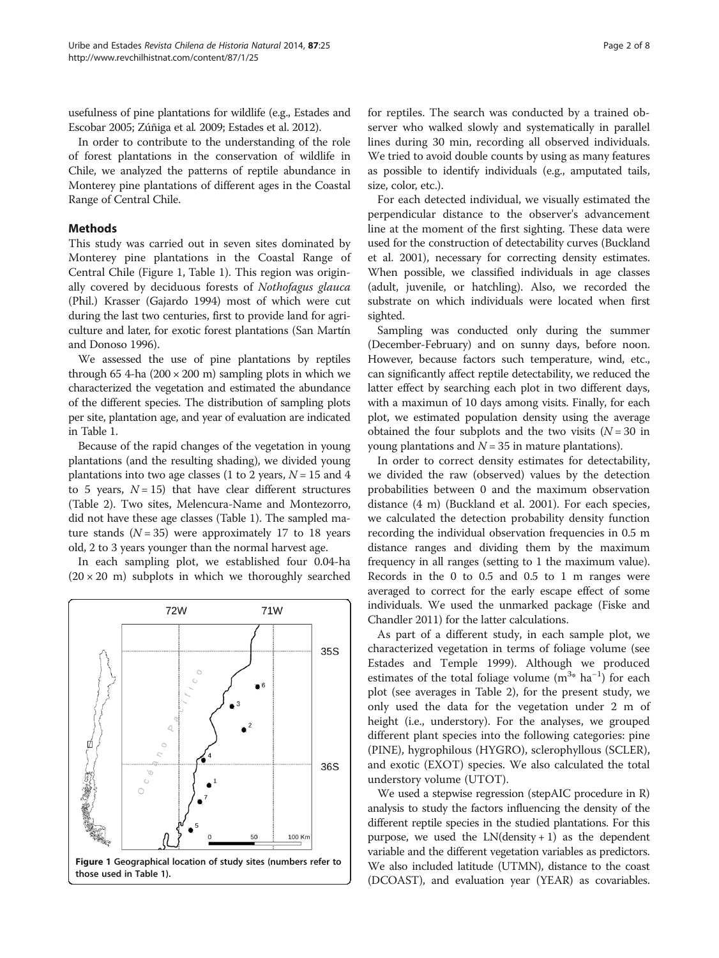<span id="page-1-0"></span>usefulness of pine plantations for wildlife (e.g., Estades and Escobar [2005](#page-6-0); Zúñiga et al. [2009](#page-7-0); Estades et al. [2012](#page-6-0)).

In order to contribute to the understanding of the role of forest plantations in the conservation of wildlife in Chile, we analyzed the patterns of reptile abundance in Monterey pine plantations of different ages in the Coastal Range of Central Chile.

## Methods

This study was carried out in seven sites dominated by Monterey pine plantations in the Coastal Range of Central Chile (Figure 1, Table [1](#page-2-0)). This region was originally covered by deciduous forests of Nothofagus glauca (Phil.) Krasser (Gajardo [1994\)](#page-6-0) most of which were cut during the last two centuries, first to provide land for agriculture and later, for exotic forest plantations (San Martín and Donoso [1996](#page-6-0)).

We assessed the use of pine plantations by reptiles through 65 4-ha  $(200 \times 200 \text{ m})$  sampling plots in which we characterized the vegetation and estimated the abundance of the different species. The distribution of sampling plots per site, plantation age, and year of evaluation are indicated in Table [1.](#page-2-0)

Because of the rapid changes of the vegetation in young plantations (and the resulting shading), we divided young plantations into two age classes (1 to 2 years,  $N = 15$  and 4 to 5 years,  $N = 15$ ) that have clear different structures (Table [2\)](#page-2-0). Two sites, Melencura-Name and Montezorro, did not have these age classes (Table [1\)](#page-2-0). The sampled mature stands  $(N = 35)$  were approximately 17 to 18 years old, 2 to 3 years younger than the normal harvest age.

In each sampling plot, we established four 0.04-ha  $(20 \times 20 \text{ m})$  subplots in which we thoroughly searched



for reptiles. The search was conducted by a trained observer who walked slowly and systematically in parallel lines during 30 min, recording all observed individuals. We tried to avoid double counts by using as many features as possible to identify individuals (e.g., amputated tails, size, color, etc.).

For each detected individual, we visually estimated the perpendicular distance to the observer's advancement line at the moment of the first sighting. These data were used for the construction of detectability curves (Buckland et al. [2001](#page-6-0)), necessary for correcting density estimates. When possible, we classified individuals in age classes (adult, juvenile, or hatchling). Also, we recorded the substrate on which individuals were located when first sighted.

Sampling was conducted only during the summer (December-February) and on sunny days, before noon. However, because factors such temperature, wind, etc., can significantly affect reptile detectability, we reduced the latter effect by searching each plot in two different days, with a maximun of 10 days among visits. Finally, for each plot, we estimated population density using the average obtained the four subplots and the two visits  $(N = 30$  in young plantations and  $N = 35$  in mature plantations).

In order to correct density estimates for detectability, we divided the raw (observed) values by the detection probabilities between 0 and the maximum observation distance (4 m) (Buckland et al. [2001](#page-6-0)). For each species, we calculated the detection probability density function recording the individual observation frequencies in 0.5 m distance ranges and dividing them by the maximum frequency in all ranges (setting to 1 the maximum value). Records in the 0 to 0.5 and 0.5 to 1 m ranges were averaged to correct for the early escape effect of some individuals. We used the unmarked package (Fiske and Chandler [2011\)](#page-6-0) for the latter calculations.

As part of a different study, in each sample plot, we characterized vegetation in terms of foliage volume (see Estades and Temple [1999\)](#page-6-0). Although we produced estimates of the total foliage volume  $(m^{3*} ha^{-1})$  for each plot (see averages in Table [2](#page-2-0)), for the present study, we only used the data for the vegetation under 2 m of height (i.e., understory). For the analyses, we grouped different plant species into the following categories: pine (PINE), hygrophilous (HYGRO), sclerophyllous (SCLER), and exotic (EXOT) species. We also calculated the total understory volume (UTOT).

We used a stepwise regression (stepAIC procedure in R) analysis to study the factors influencing the density of the different reptile species in the studied plantations. For this purpose, we used the  $LN(density + 1)$  as the dependent variable and the different vegetation variables as predictors. We also included latitude (UTMN), distance to the coast (DCOAST), and evaluation year (YEAR) as covariables.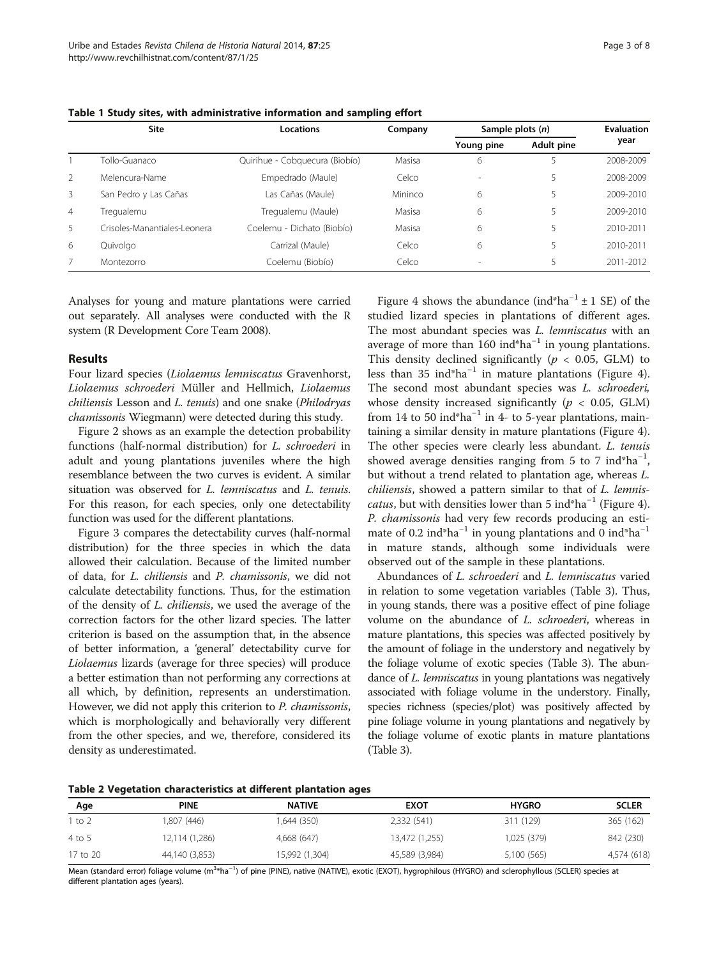|               | <b>Site</b>                  | <b>Locations</b>               | Company | Sample plots (n)         |                   | <b>Evaluation</b> |
|---------------|------------------------------|--------------------------------|---------|--------------------------|-------------------|-------------------|
|               |                              |                                |         | Young pine               | <b>Adult pine</b> | year              |
|               | Tollo-Guanaco                | Quirihue - Cobquecura (Biobío) | Masisa  | 6                        |                   | 2008-2009         |
| $\mathcal{L}$ | Melencura-Name               | Empedrado (Maule)              | Celco   | $\sim$                   | 5                 | 2008-2009         |
| 3             | San Pedro y Las Cañas        | Las Cañas (Maule)              | Mininco | 6                        |                   | 2009-2010         |
| 4             | Tregualemu                   | Tregualemu (Maule)             | Masisa  | 6                        |                   | 2009-2010         |
| 5             | Crisoles-Manantiales-Leonera | Coelemu - Dichato (Biobío)     | Masisa  | 6                        |                   | 2010-2011         |
| 6             | Quivolgo                     | Carrizal (Maule)               | Celco   | 6                        |                   | 2010-2011         |
|               | Montezorro                   | Coelemu (Biobío)               | Celco   | $\overline{\phantom{a}}$ |                   | 2011-2012         |

<span id="page-2-0"></span>Table 1 Study sites, with administrative information and sampling effort

Analyses for young and mature plantations were carried out separately. All analyses were conducted with the R system (R Development Core Team [2008](#page-6-0)).

#### Results

Four lizard species (Liolaemus lemniscatus Gravenhorst, Liolaemus schroederi Müller and Hellmich, Liolaemus chiliensis Lesson and L. tenuis) and one snake (Philodryas chamissonis Wiegmann) were detected during this study.

Figure [2](#page-3-0) shows as an example the detection probability functions (half-normal distribution) for L. schroederi in adult and young plantations juveniles where the high resemblance between the two curves is evident. A similar situation was observed for *L. lemniscatus* and *L. tenuis.* For this reason, for each species, only one detectability function was used for the different plantations.

Figure [3](#page-3-0) compares the detectability curves (half-normal distribution) for the three species in which the data allowed their calculation. Because of the limited number of data, for L. chiliensis and P. chamissonis, we did not calculate detectability functions. Thus, for the estimation of the density of L. chiliensis, we used the average of the correction factors for the other lizard species. The latter criterion is based on the assumption that, in the absence of better information, a 'general' detectability curve for Liolaemus lizards (average for three species) will produce a better estimation than not performing any corrections at all which, by definition, represents an understimation. However, we did not apply this criterion to P. chamissonis, which is morphologically and behaviorally very different from the other species, and we, therefore, considered its density as underestimated.

Figure [4](#page-4-0) shows the abundance (ind\*ha<sup>-1</sup> ± 1 SE) of the studied lizard species in plantations of different ages. The most abundant species was L. lemniscatus with an average of more than 160 ind\*ha<sup>-1</sup> in young plantations. This density declined significantly ( $p < 0.05$ , GLM) to less than 35 ind\*ha−<sup>1</sup> in mature plantations (Figure [4](#page-4-0)). The second most abundant species was L. schroederi, whose density increased significantly ( $p < 0.05$ , GLM) from 14 to 50 ind\*ha<sup>-1</sup> in 4- to 5-year plantations, maintaining a similar density in mature plantations (Figure [4](#page-4-0)). The other species were clearly less abundant. L. tenuis showed average densities ranging from 5 to 7 ind\*ha<sup>-1</sup>, but without a trend related to plantation age, whereas L. chiliensis, showed a pattern similar to that of L. lemnis*catus*, but with densities lower than 5 ind\*ha<sup>-1</sup> (Figure [4](#page-4-0)). P. chamissonis had very few records producing an estimate of 0.2 ind\*ha<sup>-1</sup> in young plantations and 0 ind\*ha<sup>-1</sup> in mature stands, although some individuals were observed out of the sample in these plantations.

Abundances of L. schroederi and L. lemniscatus varied in relation to some vegetation variables (Table [3](#page-4-0)). Thus, in young stands, there was a positive effect of pine foliage volume on the abundance of L. schroederi, whereas in mature plantations, this species was affected positively by the amount of foliage in the understory and negatively by the foliage volume of exotic species (Table [3\)](#page-4-0). The abundance of *L. lemniscatus* in young plantations was negatively associated with foliage volume in the understory. Finally, species richness (species/plot) was positively affected by pine foliage volume in young plantations and negatively by the foliage volume of exotic plants in mature plantations (Table [3](#page-4-0)).

|  |  | Table 2 Vegetation characteristics at different plantation ages |  |
|--|--|-----------------------------------------------------------------|--|
|--|--|-----------------------------------------------------------------|--|

| Age        | <b>PINE</b>    | <b>NATIVE</b>  | <b>EXOT</b>    | <b>HYGRO</b> | <b>SCLER</b> |
|------------|----------------|----------------|----------------|--------------|--------------|
| $1$ to $2$ | ,807 (446)     | 1,644 (350)    | 2,332 (541)    | 311 (129)    | 365 (162)    |
| 4 to 5     | 12,114 (1,286) | 4,668 (647)    | 13,472 (1,255) | 1.025 (379)  | 842 (230)    |
| 17 to 20   | 44,140 (3,853) | 15,992 (1,304) | 45,589 (3,984) | 5,100 (565)  | 4,574 (618)  |

Mean (standard error) foliage volume (m<sup>3</sup>\*ha<sup>−1</sup>) of pine (PINE), native (NATIVE), exotic (EXOT), hygrophilous (HYGRO) and sclerophyllous (SCLER) species at different plantation ages (years).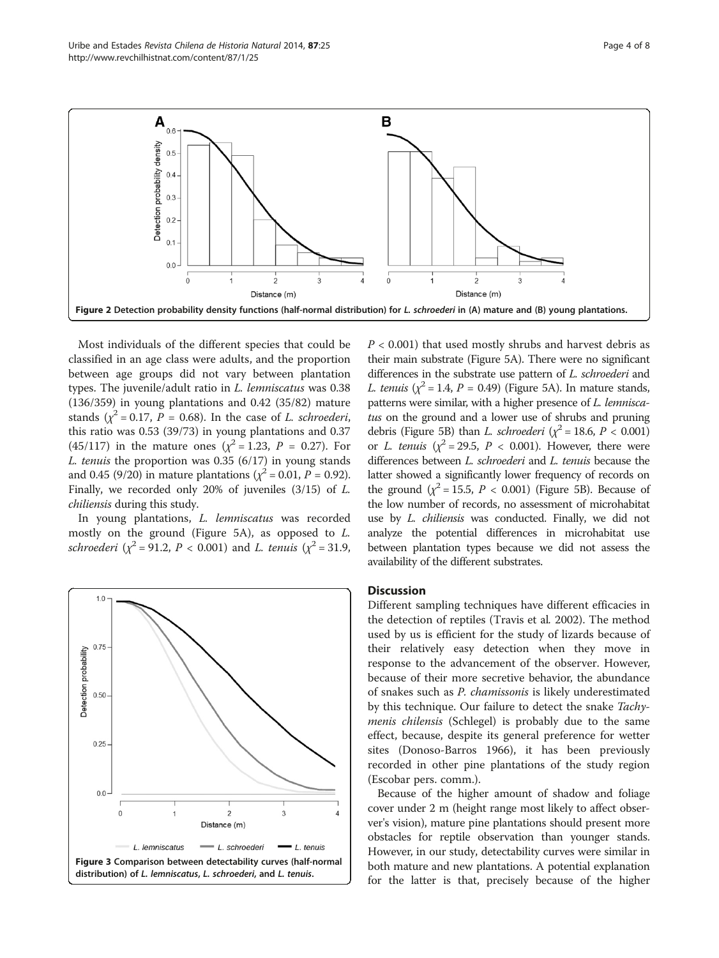<span id="page-3-0"></span>Uribe and Estades Revista Chilena de Historia Natural 2014, 87:25 Page 4 of 8 http://www.revchilhistnat.com/content/87/1/25



Most individuals of the different species that could be classified in an age class were adults, and the proportion between age groups did not vary between plantation types. The juvenile/adult ratio in L. lemniscatus was 0.38 (136/359) in young plantations and 0.42 (35/82) mature stands ( $\chi^2$  = 0.17, P = 0.68). In the case of *L. schroederi*, this ratio was 0.53 (39/73) in young plantations and 0.37 (45/117) in the mature ones ( $\chi^2 = 1.23$ ,  $P = 0.27$ ). For L. tenuis the proportion was 0.35 (6/17) in young stands and 0.45 (9/20) in mature plantations ( $\chi^2$  = 0.01, P = 0.92). Finally, we recorded only 20% of juveniles (3/15) of L. chiliensis during this study.

In young plantations, L. lemniscatus was recorded mostly on the ground (Figure [5](#page-5-0)A), as opposed to L. *schroederi* ( $\chi^2$  = 91.2, *P* < 0.001) and *L. tenuis* ( $\chi^2$  = 31.9,



 $P < 0.001$ ) that used mostly shrubs and harvest debris as their main substrate (Figure [5A](#page-5-0)). There were no significant differences in the substrate use pattern of L. schroederi and L. tenuis  $(\chi^2 = 1.4, P = 0.49)$  (Figure [5A](#page-5-0)). In mature stands, patterns were similar, with a higher presence of L. lemniscatus on the ground and a lower use of shrubs and pruning debris (Figure [5B](#page-5-0)) than *L. schroederi* ( $\chi^2$  = 18.6, *P* < 0.001) or *L. tenuis* ( $\chi^2$  = 29.5, *P* < 0.001). However, there were differences between L. schroederi and L. tenuis because the latter showed a significantly lower frequency of records on the ground  $(\chi^2 = 15.5, P < 0.001)$  (Figure [5](#page-5-0)B). Because of the low number of records, no assessment of microhabitat use by L. chiliensis was conducted. Finally, we did not analyze the potential differences in microhabitat use between plantation types because we did not assess the availability of the different substrates.

### **Discussion**

Different sampling techniques have different efficacies in the detection of reptiles (Travis et al. [2002\)](#page-7-0). The method used by us is efficient for the study of lizards because of their relatively easy detection when they move in response to the advancement of the observer. However, because of their more secretive behavior, the abundance of snakes such as P. chamissonis is likely underestimated by this technique. Our failure to detect the snake Tachymenis chilensis (Schlegel) is probably due to the same effect, because, despite its general preference for wetter sites (Donoso-Barros [1966](#page-6-0)), it has been previously recorded in other pine plantations of the study region (Escobar pers. comm.).

Because of the higher amount of shadow and foliage cover under 2 m (height range most likely to affect observer's vision), mature pine plantations should present more obstacles for reptile observation than younger stands. However, in our study, detectability curves were similar in both mature and new plantations. A potential explanation for the latter is that, precisely because of the higher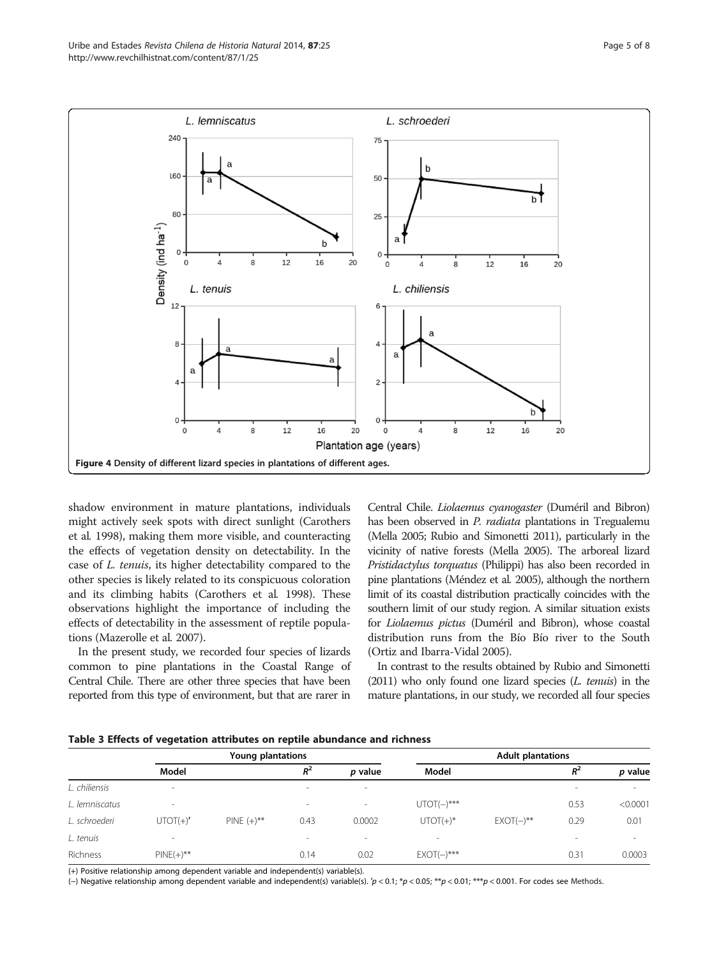

<span id="page-4-0"></span>

shadow environment in mature plantations, individuals might actively seek spots with direct sunlight (Carothers et al. [1998](#page-6-0)), making them more visible, and counteracting the effects of vegetation density on detectability. In the case of L. tenuis, its higher detectability compared to the other species is likely related to its conspicuous coloration and its climbing habits (Carothers et al. [1998\)](#page-6-0). These observations highlight the importance of including the effects of detectability in the assessment of reptile populations (Mazerolle et al. [2007](#page-6-0)).

In the present study, we recorded four species of lizards common to pine plantations in the Coastal Range of Central Chile. There are other three species that have been reported from this type of environment, but that are rarer in

Central Chile. Liolaemus cyanogaster (Duméril and Bibron) has been observed in *P. radiata* plantations in Tregualemu (Mella [2005](#page-6-0); Rubio and Simonetti [2011](#page-6-0)), particularly in the vicinity of native forests (Mella [2005\)](#page-6-0). The arboreal lizard Pristidactylus torquatus (Philippi) has also been recorded in pine plantations (Méndez et al. [2005](#page-6-0)), although the northern limit of its coastal distribution practically coincides with the southern limit of our study region. A similar situation exists for Liolaemus pictus (Duméril and Bibron), whose coastal distribution runs from the Bío Bío river to the South (Ortiz and Ibarra-Vidal [2005\)](#page-6-0).

In contrast to the results obtained by Rubio and Simonetti  $(2011)$  $(2011)$  $(2011)$  who only found one lizard species  $(L.$  tenuis) in the mature plantations, in our study, we recorded all four species

| Table 3 Effects of vegetation attributes on reptile abundance and richness |  |  |
|----------------------------------------------------------------------------|--|--|
|----------------------------------------------------------------------------|--|--|

|                | Young plantations |                 |        | <b>Adult plantations</b> |               |              |        |                          |
|----------------|-------------------|-----------------|--------|--------------------------|---------------|--------------|--------|--------------------------|
|                | Model             |                 | $R^2$  | p value                  | Model         |              | $R^2$  | p value                  |
| L. chiliensis  | $\sim$            |                 | $\sim$ | $\sim$                   |               |              | $\sim$ | $\overline{\phantom{a}}$ |
| L. lemniscatus | $\sim$            |                 | $\sim$ | $\sim$                   | $UTOT(-)$ *** |              | 0.53   | < 0.0001                 |
| L. schroederi  | $UTOT(+)'$        | PINE $(+)^{**}$ | 0.43   | 0.0002                   | $UTOT(+)$ *   | $EXOT(-)$ ** | 0.29   | 0.01                     |
| L. tenuis      |                   |                 | $\sim$ | $\overline{\phantom{a}}$ | $\sim$        |              | $\sim$ |                          |
| Richness       | $PINE(+)$ **      |                 | 0.14   | 0.02                     | $EXOT(-)$ *** |              | 0.31   | 0.0003                   |

(+) Positive relationship among dependent variable and independent(s) variable(s).

(−) Negative relationship among dependent variable and independent(s) variable(s). ′p < 0.1; \*p < 0.05; \*\*p < 0.01; \*\*\*p < 0.001. For codes see [Methods.](#page-1-0)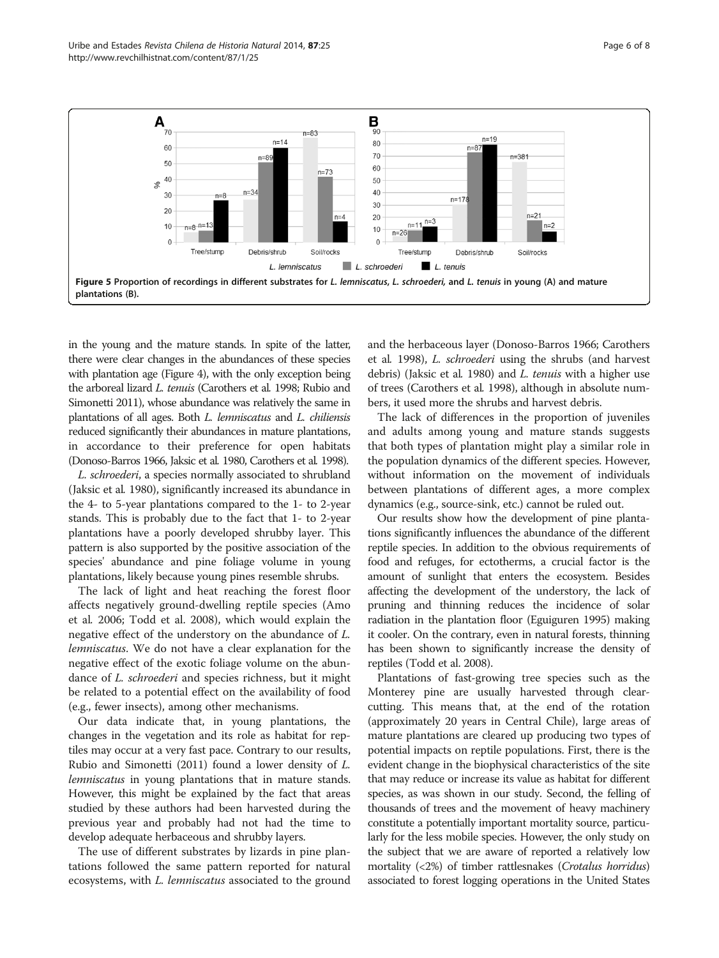<span id="page-5-0"></span>

in the young and the mature stands. In spite of the latter, there were clear changes in the abundances of these species with plantation age (Figure [4](#page-4-0)), with the only exception being the arboreal lizard L. tenuis (Carothers et al. [1998](#page-6-0); Rubio and Simonetti [2011\)](#page-6-0), whose abundance was relatively the same in plantations of all ages. Both L. lemniscatus and L. chiliensis reduced significantly their abundances in mature plantations, in accordance to their preference for open habitats (Donoso-Barros [1966,](#page-6-0) Jaksic et al. [1980,](#page-6-0) Carothers et al. [1998](#page-6-0)).

L. schroederi, a species normally associated to shrubland (Jaksic et al. [1980](#page-6-0)), significantly increased its abundance in the 4- to 5-year plantations compared to the 1- to 2-year stands. This is probably due to the fact that 1- to 2-year plantations have a poorly developed shrubby layer. This pattern is also supported by the positive association of the species' abundance and pine foliage volume in young plantations, likely because young pines resemble shrubs.

The lack of light and heat reaching the forest floor affects negatively ground-dwelling reptile species (Amo et al. [2006;](#page-6-0) Todd et al. [2008\)](#page-7-0), which would explain the negative effect of the understory on the abundance of L. lemniscatus. We do not have a clear explanation for the negative effect of the exotic foliage volume on the abundance of L. schroederi and species richness, but it might be related to a potential effect on the availability of food (e.g., fewer insects), among other mechanisms.

Our data indicate that, in young plantations, the changes in the vegetation and its role as habitat for reptiles may occur at a very fast pace. Contrary to our results, Rubio and Simonetti ([2011\)](#page-6-0) found a lower density of L. lemniscatus in young plantations that in mature stands. However, this might be explained by the fact that areas studied by these authors had been harvested during the previous year and probably had not had the time to develop adequate herbaceous and shrubby layers.

The use of different substrates by lizards in pine plantations followed the same pattern reported for natural ecosystems, with L. lemniscatus associated to the ground

and the herbaceous layer (Donoso-Barros [1966](#page-6-0); Carothers et al. [1998\)](#page-6-0), L. schroederi using the shrubs (and harvest debris) (Jaksic et al. [1980\)](#page-6-0) and *L. tenuis* with a higher use of trees (Carothers et al. [1998\)](#page-6-0), although in absolute numbers, it used more the shrubs and harvest debris.

The lack of differences in the proportion of juveniles and adults among young and mature stands suggests that both types of plantation might play a similar role in the population dynamics of the different species. However, without information on the movement of individuals between plantations of different ages, a more complex dynamics (e.g., source-sink, etc.) cannot be ruled out.

Our results show how the development of pine plantations significantly influences the abundance of the different reptile species. In addition to the obvious requirements of food and refuges, for ectotherms, a crucial factor is the amount of sunlight that enters the ecosystem. Besides affecting the development of the understory, the lack of pruning and thinning reduces the incidence of solar radiation in the plantation floor (Eguiguren [1995\)](#page-6-0) making it cooler. On the contrary, even in natural forests, thinning has been shown to significantly increase the density of reptiles (Todd et al. 2008).

Plantations of fast-growing tree species such as the Monterey pine are usually harvested through clearcutting. This means that, at the end of the rotation (approximately 20 years in Central Chile), large areas of mature plantations are cleared up producing two types of potential impacts on reptile populations. First, there is the evident change in the biophysical characteristics of the site that may reduce or increase its value as habitat for different species, as was shown in our study. Second, the felling of thousands of trees and the movement of heavy machinery constitute a potentially important mortality source, particularly for the less mobile species. However, the only study on the subject that we are aware of reported a relatively low mortality (<2%) of timber rattlesnakes (Crotalus horridus) associated to forest logging operations in the United States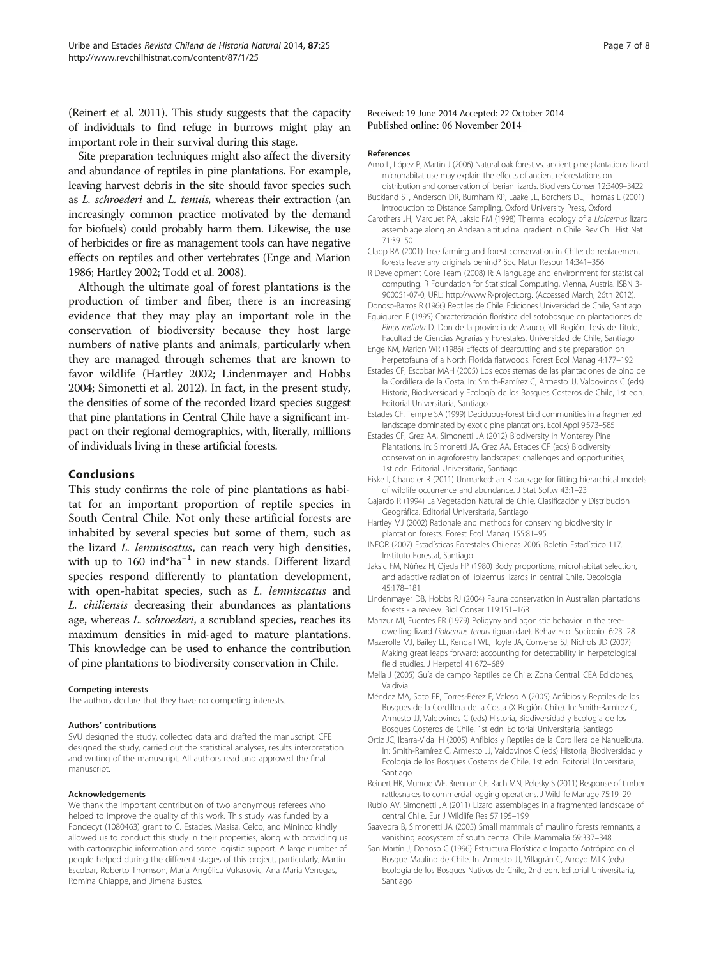<span id="page-6-0"></span>(Reinert et al. 2011). This study suggests that the capacity of individuals to find refuge in burrows might play an important role in their survival during this stage.

Site preparation techniques might also affect the diversity and abundance of reptiles in pine plantations. For example, leaving harvest debris in the site should favor species such as L. schroederi and L. tenuis, whereas their extraction (an increasingly common practice motivated by the demand for biofuels) could probably harm them. Likewise, the use of herbicides or fire as management tools can have negative effects on reptiles and other vertebrates (Enge and Marion 1986; Hartley 2002; Todd et al. 2008).

Although the ultimate goal of forest plantations is the production of timber and fiber, there is an increasing evidence that they may play an important role in the conservation of biodiversity because they host large numbers of native plants and animals, particularly when they are managed through schemes that are known to favor wildlife (Hartley 2002; Lindenmayer and Hobbs 2004; Simonetti et al. [2012](#page-7-0)). In fact, in the present study, the densities of some of the recorded lizard species suggest that pine plantations in Central Chile have a significant impact on their regional demographics, with, literally, millions of individuals living in these artificial forests.

### Conclusions

This study confirms the role of pine plantations as habitat for an important proportion of reptile species in South Central Chile. Not only these artificial forests are inhabited by several species but some of them, such as the lizard L. lemniscatus, can reach very high densities, with up to 160 ind\*ha<sup>-1</sup> in new stands. Different lizard species respond differently to plantation development, with open-habitat species, such as L. lemniscatus and L. chiliensis decreasing their abundances as plantations age, whereas L. schroederi, a scrubland species, reaches its maximum densities in mid-aged to mature plantations. This knowledge can be used to enhance the contribution of pine plantations to biodiversity conservation in Chile.

#### Competing interests

The authors declare that they have no competing interests.

#### Authors' contributions

SVU designed the study, collected data and drafted the manuscript. CFE designed the study, carried out the statistical analyses, results interpretation and writing of the manuscript. All authors read and approved the final manuscript.

#### Acknowledgements

We thank the important contribution of two anonymous referees who helped to improve the quality of this work. This study was funded by a Fondecyt (1080463) grant to C. Estades. Masisa, Celco, and Mininco kindly allowed us to conduct this study in their properties, along with providing us with cartographic information and some logistic support. A large number of people helped during the different stages of this project, particularly, Martín Escobar, Roberto Thomson, María Angélica Vukasovic, Ana María Venegas, Romina Chiappe, and Jimena Bustos.

#### Received: 19 June 2014 Accepted: 22 October 2014 Published online: 06 November 2014

#### References

- Amo L, López P, Martin J (2006) Natural oak forest vs. ancient pine plantations: lizard microhabitat use may explain the effects of ancient reforestations on distribution and conservation of Iberian lizards. Biodivers Conser 12:3409–3422
- Buckland ST, Anderson DR, Burnham KP, Laake JL, Borchers DL, Thomas L (2001) Introduction to Distance Sampling. Oxford University Press, Oxford
- Carothers JH, Marquet PA, Jaksic FM (1998) Thermal ecology of a Liolaemus lizard assemblage along an Andean altitudinal gradient in Chile. Rev Chil Hist Nat 71:39–50
- Clapp RA (2001) Tree farming and forest conservation in Chile: do replacement forests leave any originals behind? Soc Natur Resour 14:341–356
- R Development Core Team (2008) R: A language and environment for statistical computing. R Foundation for Statistical Computing, Vienna, Austria. ISBN 3- 900051-07-0, URL: [http://www.R-project.org](http://www.r-project.org). (Accessed March, 26th 2012).
- Donoso-Barros R (1966) Reptiles de Chile. Ediciones Universidad de Chile, Santiago Eguiguren F (1995) Caracterización florística del sotobosque en plantaciones de Pinus radiata D. Don de la provincia de Arauco, VIII Región. Tesis de Título,
- Facultad de Ciencias Agrarias y Forestales. Universidad de Chile, Santiago Enge KM, Marion WR (1986) Effects of clearcutting and site preparation on herpetofauna of a North Florida flatwoods. Forest Ecol Manag 4:177–192
- Estades CF, Escobar MAH (2005) Los ecosistemas de las plantaciones de pino de la Cordillera de la Costa. In: Smith-Ramírez C, Armesto JJ, Valdovinos C (eds) Historia, Biodiversidad y Ecología de los Bosques Costeros de Chile, 1st edn. Editorial Universitaria, Santiago
- Estades CF, Temple SA (1999) Deciduous-forest bird communities in a fragmented landscape dominated by exotic pine plantations. Ecol Appl 9:573–585
- Estades CF, Grez AA, Simonetti JA (2012) Biodiversity in Monterey Pine Plantations. In: Simonetti JA, Grez AA, Estades CF (eds) Biodiversity conservation in agroforestry landscapes: challenges and opportunities, 1st edn. Editorial Universitaria, Santiago
- Fiske I, Chandler R (2011) Unmarked: an R package for fitting hierarchical models of wildlife occurrence and abundance. J Stat Softw 43:1–23
- Gajardo R (1994) La Vegetación Natural de Chile. Clasificación y Distribución Geográfica. Editorial Universitaria, Santiago
- Hartley MJ (2002) Rationale and methods for conserving biodiversity in plantation forests. Forest Ecol Manag 155:81–95
- INFOR (2007) Estadísticas Forestales Chilenas 2006. Boletín Estadístico 117. Instituto Forestal, Santiago
- Jaksic FM, Núñez H, Ojeda FP (1980) Body proportions, microhabitat selection, and adaptive radiation of liolaemus lizards in central Chile. Oecologia 45:178–181
- Lindenmayer DB, Hobbs RJ (2004) Fauna conservation in Australian plantations forests - a review. Biol Conser 119:151–168
- Manzur MI, Fuentes ER (1979) Poligyny and agonistic behavior in the treedwelling lizard Liolaemus tenuis (iguanidae). Behav Ecol Sociobiol 6:23–28
- Mazerolle MJ, Bailey LL, Kendall WL, Royle JA, Converse SJ, Nichols JD (2007) Making great leaps forward: accounting for detectability in herpetological field studies. J Herpetol 41:672–689
- Mella J (2005) Guía de campo Reptiles de Chile: Zona Central. CEA Ediciones, Valdivia
- Méndez MA, Soto ER, Torres-Pérez F, Veloso A (2005) Anfibios y Reptiles de los Bosques de la Cordillera de la Costa (X Región Chile). In: Smith-Ramírez C, Armesto JJ, Valdovinos C (eds) Historia, Biodiversidad y Ecología de los Bosques Costeros de Chile, 1st edn. Editorial Universitaria, Santiago
- Ortiz JC, Ibarra-Vidal H (2005) Anfibios y Reptiles de la Cordillera de Nahuelbuta. In: Smith-Ramírez C, Armesto JJ, Valdovinos C (eds) Historia, Biodiversidad y Ecología de los Bosques Costeros de Chile, 1st edn. Editorial Universitaria, Santiago
- Reinert HK, Munroe WF, Brennan CE, Rach MN, Pelesky S (2011) Response of timber rattlesnakes to commercial logging operations. J Wildlife Manage 75:19–29
- Rubio AV, Simonetti JA (2011) Lizard assemblages in a fragmented landscape of central Chile. Eur J Wildlife Res 57:195–199
- Saavedra B, Simonetti JA (2005) Small mammals of maulino forests remnants, a vanishing ecosystem of south central Chile. Mammalia 69:337–348
- San Martín J, Donoso C (1996) Estructura Florística e Impacto Antrópico en el Bosque Maulino de Chile. In: Armesto JJ, Villagrán C, Arroyo MTK (eds) Ecología de los Bosques Nativos de Chile, 2nd edn. Editorial Universitaria, Santiago